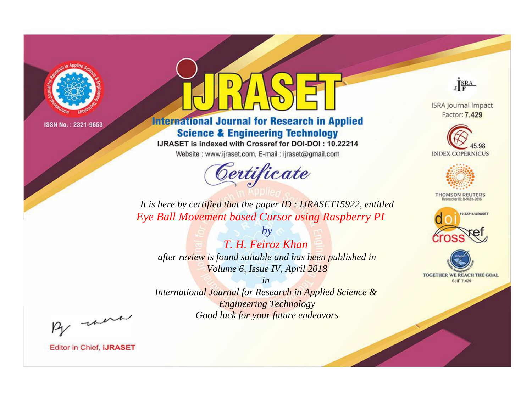

# **International Journal for Research in Applied Science & Engineering Technology**

IJRASET is indexed with Crossref for DOI-DOI: 10.22214

Website: www.ijraset.com, E-mail: ijraset@gmail.com



JERA

**ISRA Journal Impact** Factor: 7.429





**THOMSON REUTERS** 



TOGETHER WE REACH THE GOAL **SJIF 7.429** 

*It is here by certified that the paper ID : IJRASET15922, entitled Eye Ball Movement based Cursor using Raspberry PI*

*by T. H. Feiroz Khan after review is found suitable and has been published in Volume 6, Issue IV, April 2018*

*in International Journal for Research in Applied Science &* 

*Engineering Technology Good luck for your future endeavors*

By morn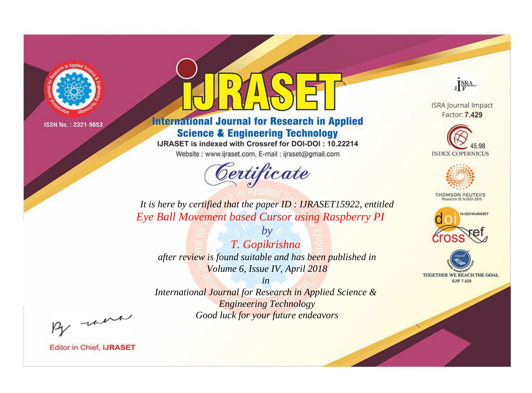

# **International Journal for Research in Applied Science & Engineering Technology**

IJRASET is indexed with Crossref for DOI-DOI: 10.22214

Website: www.ijraset.com, E-mail: ijraset@gmail.com



JERA

**ISRA Journal Impact** Factor: 7.429





**THOMSON REUTERS** 



TOGETHER WE REACH THE GOAL **SJIF 7.429** 

It is here by certified that the paper ID: IJRASET15922, entitled Eye Ball Movement based Cursor using Raspberry PI

 $by$ T. Gopikrishna after review is found suitable and has been published in Volume 6, Issue IV, April 2018

 $in$ International Journal for Research in Applied Science & **Engineering Technology** Good luck for your future endeavors

By morn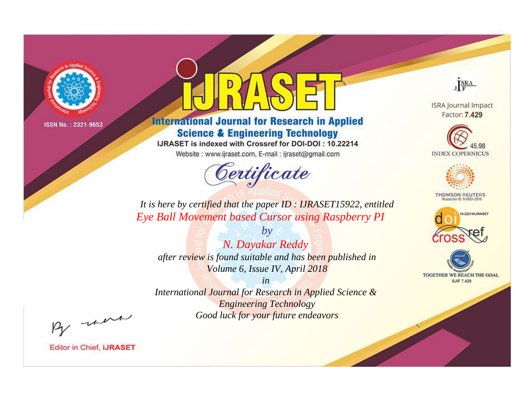

# **International Journal for Research in Applied Science & Engineering Technology**

IJRASET is indexed with Crossref for DOI-DOI: 10.22214

Website: www.ijraset.com, E-mail: ijraset@gmail.com



JERA

**ISRA Journal Impact** Factor: 7.429





**THOMSON REUTERS** 



TOGETHER WE REACH THE GOAL **SJIF 7.429** 

*It is here by certified that the paper ID : IJRASET15922, entitled Eye Ball Movement based Cursor using Raspberry PI*

*by N. Dayakar Reddy after review is found suitable and has been published in Volume 6, Issue IV, April 2018*

*in* 

*International Journal for Research in Applied Science & Engineering Technology Good luck for your future endeavors*

By morn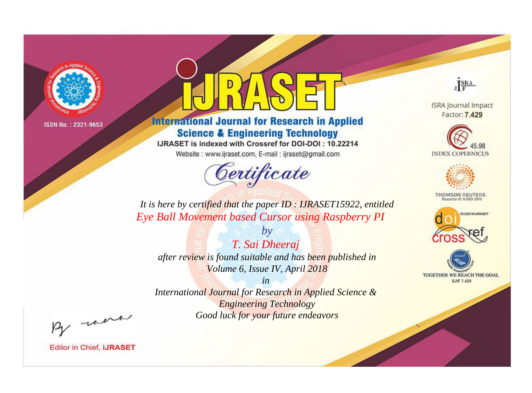

# **International Journal for Research in Applied Science & Engineering Technology**

IJRASET is indexed with Crossref for DOI-DOI: 10.22214

Website: www.ijraset.com, E-mail: ijraset@gmail.com



JERA

**ISRA Journal Impact** Factor: 7.429





**THOMSON REUTERS** 



TOGETHER WE REACH THE GOAL **SJIF 7.429** 

*It is here by certified that the paper ID : IJRASET15922, entitled Eye Ball Movement based Cursor using Raspberry PI*

*by T. Sai Dheeraj after review is found suitable and has been published in Volume 6, Issue IV, April 2018*

*in* 

*International Journal for Research in Applied Science & Engineering Technology Good luck for your future endeavors*

By morn